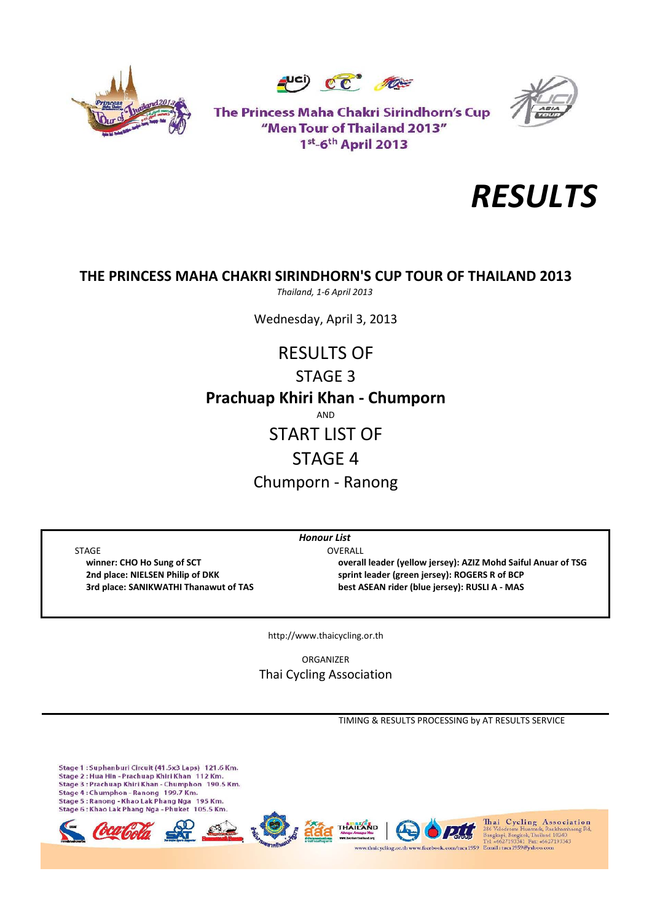





The Princess Maha Chakri Sirindhorn's Cup "Men Tour of Thailand 2013" 1st-6th April 2013



# **THE PRINCESS MAHA CHAKRI SIRINDHORN'S CUP TOUR OF THAILAND 2013**

*Thailand, 1‐6 April 2013*

Wednesday, April 3, 2013

# **Prachuap Khiri Khan ‐ Chumporn** AND START LIST OF RESULTS OF STAGE 3

# STAGE 4

Chumporn ‐ Ranong

*Honour List*

STAGE OVERALL

 **winner: CHO Ho Sung of SCT overall leader (yellow jersey): AZIZ Mohd Saiful Anuar of TSG 2nd place: NIELSEN Philip of DKK sprint leader (green jersey): ROGERS R of BCP 3rd place: SANIKWATHI Thanawut of TAS best ASEAN rider (blue jersey): RUSLI A ‐ MAS**

http://www.thaicycling.or.th

ORGANIZER Thai Cycling Association

TIMING & RESULTS PROCESSING by AT RESULTS SERVICE

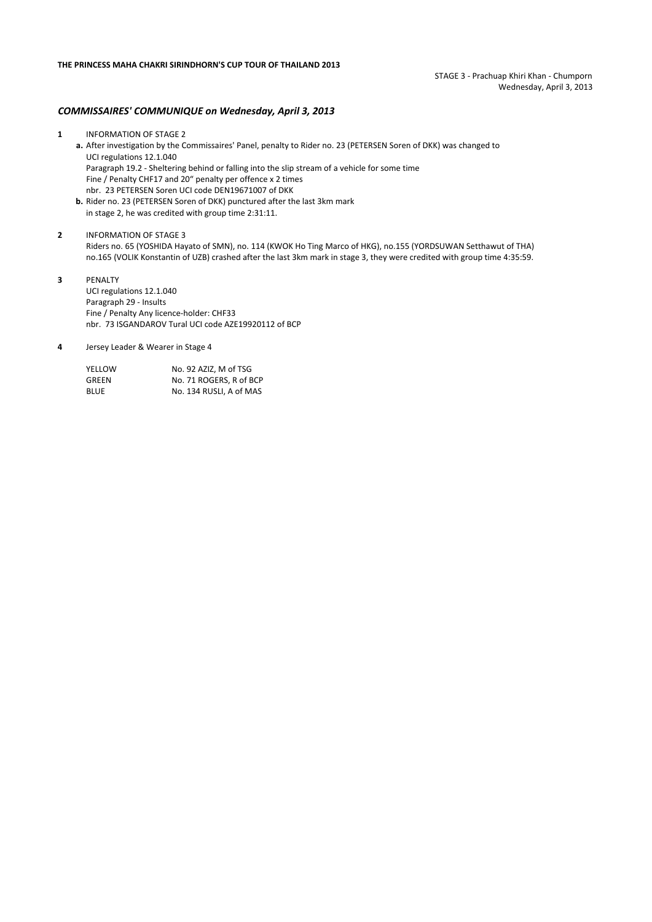#### *COMMISSAIRES' COMMUNIQUE on Wednesday, April 3, 2013*

- **1** INFORMATION OF STAGE 2 **a.** After investigation by the Commissaires' Panel, penalty to Rider no. 23 (PETERSEN Soren of DKK) was changed to UCI regulations 12.1.040 Paragraph 19.2 ‐ Sheltering behind or falling into the slip stream of a vehicle for some time Fine / Penalty CHF17 and 20" penalty per offence x 2 times nbr. 23 PETERSEN Soren UCI code DEN19671007 of DKK
	- **b.** Rider no. 23 (PETERSEN Soren of DKK) punctured after the last 3km mark in stage 2, he was credited with group time 2:31:11.
- **2** INFORMATION OF STAGE 3 Riders no. 65 (YOSHIDA Hayato of SMN), no. 114 (KWOK Ho Ting Marco of HKG), no.155 (YORDSUWAN Setthawut of THA) no.165 (VOLIK Konstantin of UZB) crashed after the last 3km mark in stage 3, they were credited with group time 4:35:59.
- **3** PENALTY UCI regulations 12.1.040 Paragraph 29 ‐ Insults Fine / Penalty Any licence-holder: CHF33 nbr. 73 ISGANDAROV Tural UCI code AZE19920112 of BCP
- **4** Jersey Leader & Wearer in Stage 4

| YELLOW | No. 92 AZIZ. M of TSG   |
|--------|-------------------------|
| GREEN  | No. 71 ROGERS. R of BCP |
| BLUE   | No. 134 RUSLI. A of MAS |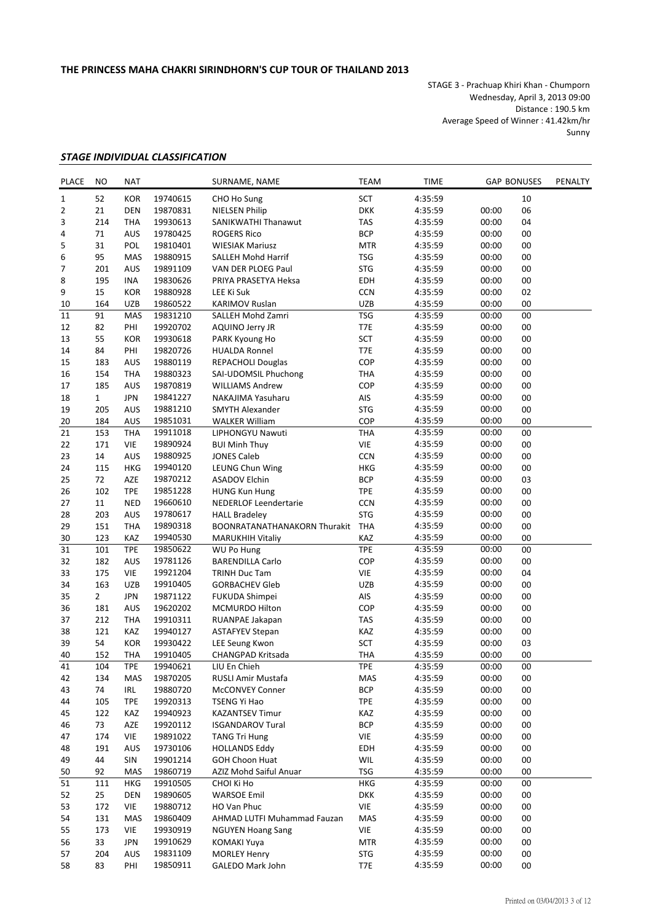STAGE 3 ‐ Prachuap Khiri Khan ‐ Chumporn Wednesday, April 3, 2013 09:00 Distance : 190.5 km Average Speed of Winner : 41.42km/hr Sunny

## *STAGE INDIVIDUAL CLASSIFICATION*

| <b>PLACE</b> | NO             | <b>NAT</b> | SURNAME, NAME        |                                     | <b>TEAM</b>              | <b>TIME</b> |                | <b>GAP BONUSES</b> | PENALTY |
|--------------|----------------|------------|----------------------|-------------------------------------|--------------------------|-------------|----------------|--------------------|---------|
| 1            | 52             | <b>KOR</b> | 19740615             | CHO Ho Sung                         | <b>SCT</b>               | 4:35:59     |                | 10                 |         |
| 2            | 21             | <b>DEN</b> | 19870831             | <b>NIELSEN Philip</b>               | <b>DKK</b>               | 4:35:59     | 00:00          | 06                 |         |
| 3            | 214            | <b>THA</b> | 19930613             | SANIKWATHI Thanawut                 | <b>TAS</b>               | 4:35:59     | 00:00          | 04                 |         |
| 4            | 71             | AUS        | 19780425             | <b>ROGERS Rico</b>                  | <b>BCP</b>               | 4:35:59     | 00:00          | 00                 |         |
| 5            | 31             | POL        | 19810401             | <b>WIESIAK Mariusz</b>              | <b>MTR</b>               | 4:35:59     | 00:00          | 00                 |         |
| 6            | 95             | MAS        | 19880915             | SALLEH Mohd Harrif                  | <b>TSG</b>               | 4:35:59     | 00:00          | 00                 |         |
| 7            | 201            | AUS        | 19891109             | VAN DER PLOEG Paul                  | <b>STG</b>               | 4:35:59     | 00:00          | 00                 |         |
| 8            | 195            | <b>INA</b> | 19830626             | PRIYA PRASETYA Heksa                | EDH                      | 4:35:59     | 00:00          | 00                 |         |
| 9            | 15             | <b>KOR</b> | 19880928             | LEE Ki Suk                          | <b>CCN</b>               | 4:35:59     | 00:00          | 02                 |         |
| 10           | 164            | UZB        | 19860522             | <b>KARIMOV Ruslan</b>               | <b>UZB</b>               | 4:35:59     | 00:00          | 00                 |         |
| $11\,$       | 91             | MAS        | 19831210             | SALLEH Mohd Zamri                   | <b>TSG</b>               | 4:35:59     | 00:00          | $00\,$             |         |
| 12           | 82             | PHI        | 19920702             | AQUINO Jerry JR                     | T7E                      | 4:35:59     | 00:00          | 00                 |         |
| 13           | 55             | <b>KOR</b> | 19930618             | PARK Kyoung Ho                      | <b>SCT</b>               | 4:35:59     | 00:00          | 00                 |         |
| 14           | 84             | PHI        | 19820726             | <b>HUALDA Ronnel</b>                | T7E                      | 4:35:59     | 00:00          | 00                 |         |
| 15           | 183            | AUS        | 19880119             | REPACHOLI Douglas                   | COP                      | 4:35:59     | 00:00          | 00                 |         |
| 16           | 154            | <b>THA</b> | 19880323             | SAI-UDOMSIL Phuchong                | <b>THA</b>               | 4:35:59     | 00:00          | 00                 |         |
| 17           | 185            | AUS        | 19870819             | <b>WILLIAMS Andrew</b>              | COP                      | 4:35:59     | 00:00          | 00                 |         |
| 18           | $\mathbf{1}$   | <b>JPN</b> | 19841227             | NAKAJIMA Yasuharu                   | AIS                      | 4:35:59     | 00:00          | 00                 |         |
| 19           | 205            | AUS        | 19881210             | <b>SMYTH Alexander</b>              | <b>STG</b>               | 4:35:59     | 00:00          | 00                 |         |
| 20           | 184            | AUS        | 19851031             | <b>WALKER William</b>               | COP                      | 4:35:59     | 00:00          | 00                 |         |
| 21           | 153            | <b>THA</b> | 19911018             | LIPHONGYU Nawuti                    | <b>THA</b>               | 4:35:59     | 00:00          | 00                 |         |
| 22           | 171            | VIE        | 19890924             | <b>BUI Minh Thuy</b>                | <b>VIE</b>               | 4:35:59     | 00:00          | $00\,$             |         |
| 23           | 14             | AUS        | 19880925             | <b>JONES Caleb</b>                  | <b>CCN</b>               | 4:35:59     | 00:00          | $00\,$             |         |
| 24           | 115            | <b>HKG</b> | 19940120             | LEUNG Chun Wing                     | <b>HKG</b>               | 4:35:59     | 00:00          | 00                 |         |
| 25           | 72             | AZE        | 19870212             | <b>ASADOV Elchin</b>                | <b>BCP</b>               | 4:35:59     | 00:00          | 03                 |         |
| 26           | 102            | <b>TPE</b> |                      |                                     | <b>TPE</b>               |             |                | 00                 |         |
|              |                |            | 19851228<br>19660610 | <b>HUNG Kun Hung</b>                |                          | 4:35:59     | 00:00<br>00:00 |                    |         |
| 27           | 11             | <b>NED</b> |                      | <b>NEDERLOF Leendertarie</b>        | <b>CCN</b><br><b>STG</b> | 4:35:59     |                | 00                 |         |
| 28           | 203            | AUS        | 19780617             | <b>HALL Bradeley</b>                |                          | 4:35:59     | 00:00          | 00                 |         |
| 29           | 151            | <b>THA</b> | 19890318             | <b>BOONRATANATHANAKORN Thurakit</b> | <b>THA</b>               | 4:35:59     | 00:00          | 00                 |         |
| 30           | 123            | KAZ        | 19940530             | <b>MARUKHIH Vitaliy</b>             | KAZ                      | 4:35:59     | 00:00          | 00                 |         |
| 31           | 101            | <b>TPE</b> | 19850622             | <b>WU Po Hung</b>                   | <b>TPE</b>               | 4:35:59     | 00:00          | 00                 |         |
| 32           | 182            | AUS        | 19781126             | <b>BARENDILLA Carlo</b>             | COP                      | 4:35:59     | 00:00          | 00                 |         |
| 33           | 175            | <b>VIE</b> | 19921204             | <b>TRINH Duc Tam</b>                | VIE                      | 4:35:59     | 00:00          | 04                 |         |
| 34           | 163            | <b>UZB</b> | 19910405             | <b>GORBACHEV Gleb</b>               | <b>UZB</b>               | 4:35:59     | 00:00          | 00                 |         |
| 35           | $\overline{2}$ | <b>JPN</b> | 19871122             | FUKUDA Shimpei                      | AIS                      | 4:35:59     | 00:00          | 00                 |         |
| 36           | 181            | AUS        | 19620202             | <b>MCMURDO Hilton</b>               | COP                      | 4:35:59     | 00:00          | 00                 |         |
| 37           | 212            | <b>THA</b> | 19910311             | RUANPAE Jakapan                     | <b>TAS</b>               | 4:35:59     | 00:00          | 00                 |         |
| 38           | 121            | KAZ        | 19940127             | <b>ASTAFYEV Stepan</b>              | KAZ                      | 4:35:59     | 00:00          | 00                 |         |
| 39           | 54             | <b>KOR</b> | 19930422             | <b>LEE Seung Kwon</b>               | <b>SCT</b>               | 4:35:59     | 00:00          | 03                 |         |
| 40           | 152            | <b>THA</b> | 19910405             | <b>CHANGPAD Kritsada</b>            | <b>THA</b>               | 4:35:59     | 00:00          | 00                 |         |
| 41           | 104            | <b>TPE</b> | 19940621             | LIU En Chieh                        | <b>TPE</b>               | 4:35:59     | 00:00          | $00\,$             |         |
| 42           | 134            | MAS        | 19870205             | RUSLI Amir Mustafa                  | MAS                      | 4:35:59     | 00:00          | 00                 |         |
| 43           | 74             | IRL        | 19880720             | McCONVEY Conner                     | <b>BCP</b>               | 4:35:59     | 00:00          | 00                 |         |
| 44           | 105            | <b>TPE</b> | 19920313             | TSENG Yi Hao                        | <b>TPE</b>               | 4:35:59     | 00:00          | 00                 |         |
| 45           | 122            | KAZ        | 19940923             | <b>KAZANTSEV Timur</b>              | KAZ                      | 4:35:59     | 00:00          | 00                 |         |
| 46           | 73             | AZE        | 19920112             | <b>ISGANDAROV Tural</b>             | <b>BCP</b>               | 4:35:59     | 00:00          | 00                 |         |
| 47           | 174            | <b>VIE</b> | 19891022             | <b>TANG Tri Hung</b>                | VIE                      | 4:35:59     | 00:00          | 00                 |         |
| 48           | 191            | AUS        | 19730106             | <b>HOLLANDS Eddy</b>                | EDH                      | 4:35:59     | 00:00          | 00                 |         |
| 49           | 44             | SIN        | 19901214             | <b>GOH Choon Huat</b>               | WIL                      | 4:35:59     | 00:00          | 00                 |         |
| 50           | 92             | MAS        | 19860719             | AZIZ Mohd Saiful Anuar              | <b>TSG</b>               | 4:35:59     | 00:00          | 00                 |         |
| 51           | 111            | <b>HKG</b> | 19910505             | CHOI Ki Ho                          | HKG                      | 4:35:59     | 00:00          | 00                 |         |
| 52           | 25             | <b>DEN</b> | 19890605             | <b>WARSOE Emil</b>                  | <b>DKK</b>               | 4:35:59     | 00:00          | 00                 |         |
| 53           | 172            | VIE        | 19880712             | HO Van Phuc                         | VIE                      | 4:35:59     | 00:00          | 00                 |         |
| 54           | 131            | MAS        | 19860409             | AHMAD LUTFI Muhammad Fauzan         | MAS                      | 4:35:59     | 00:00          | 00                 |         |
| 55           | 173            | VIE        | 19930919             | <b>NGUYEN Hoang Sang</b>            | VIE                      | 4:35:59     | 00:00          | 00                 |         |
| 56           | 33             | <b>JPN</b> | 19910629             | KOMAKI Yuya                         | <b>MTR</b>               | 4:35:59     | 00:00          | 00                 |         |
| 57           | 204            | AUS        | 19831109             | <b>MORLEY Henry</b>                 | <b>STG</b>               | 4:35:59     | 00:00          | 00                 |         |
| 58           | 83             | PHI        | 19850911             | GALEDO Mark John                    | T7E                      | 4:35:59     | 00:00          | 00                 |         |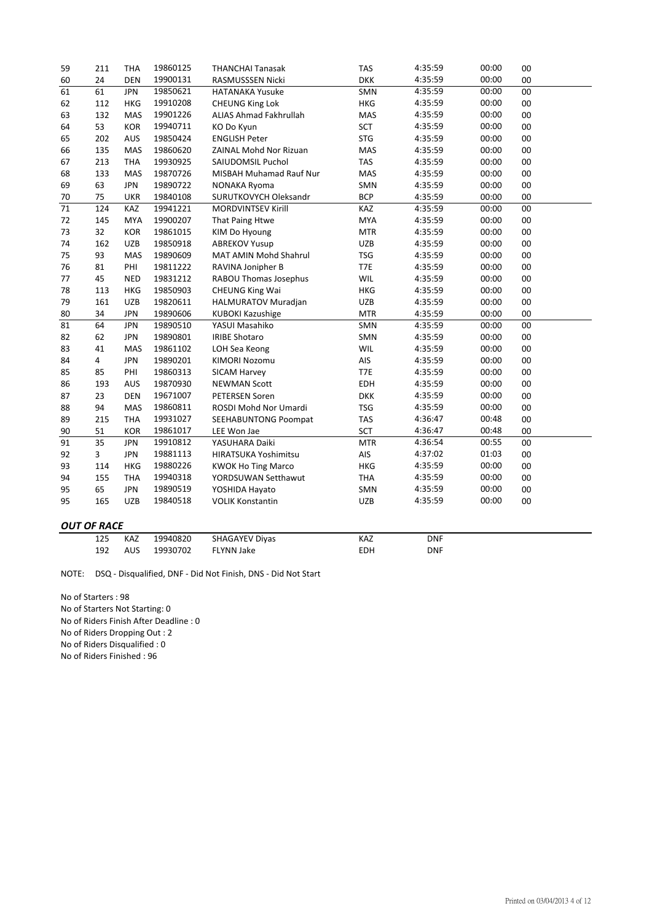| 59 | 211                | <b>THA</b> | 19860125 | <b>THANCHAI Tanasak</b>      | <b>TAS</b> | 4:35:59    | 00:00 | 00 |
|----|--------------------|------------|----------|------------------------------|------------|------------|-------|----|
| 60 | 24                 | <b>DEN</b> | 19900131 | RASMUSSSEN Nicki             | <b>DKK</b> | 4:35:59    | 00:00 | 00 |
| 61 | 61                 | <b>JPN</b> | 19850621 | <b>HATANAKA Yusuke</b>       | SMN        | 4:35:59    | 00:00 | 00 |
| 62 | 112                | <b>HKG</b> | 19910208 | <b>CHEUNG King Lok</b>       | <b>HKG</b> | 4:35:59    | 00:00 | 00 |
| 63 | 132                | MAS        | 19901226 | ALIAS Ahmad Fakhrullah       | MAS        | 4:35:59    | 00:00 | 00 |
| 64 | 53                 | <b>KOR</b> | 19940711 | KO Do Kyun                   | <b>SCT</b> | 4:35:59    | 00:00 | 00 |
| 65 | 202                | <b>AUS</b> | 19850424 | <b>ENGLISH Peter</b>         | <b>STG</b> | 4:35:59    | 00:00 | 00 |
| 66 | 135                | MAS        | 19860620 | ZAINAL Mohd Nor Rizuan       | MAS        | 4:35:59    | 00:00 | 00 |
| 67 | 213                | <b>THA</b> | 19930925 | SAIUDOMSIL Puchol            | <b>TAS</b> | 4:35:59    | 00:00 | 00 |
| 68 | 133                | MAS        | 19870726 | MISBAH Muhamad Rauf Nur      | MAS        | 4:35:59    | 00:00 | 00 |
| 69 | 63                 | <b>JPN</b> | 19890722 | NONAKA Ryoma                 | SMN        | 4:35:59    | 00:00 | 00 |
| 70 | 75                 | <b>UKR</b> | 19840108 | SURUTKOVYCH Oleksandr        | <b>BCP</b> | 4:35:59    | 00:00 | 00 |
| 71 | 124                | KAZ        | 19941221 | MORDVINTSEV Kirill           | KAZ        | 4:35:59    | 00:00 | 00 |
| 72 | 145                | <b>MYA</b> | 19900207 | That Paing Htwe              | <b>MYA</b> | 4:35:59    | 00:00 | 00 |
| 73 | 32                 | <b>KOR</b> | 19861015 | KIM Do Hyoung                | <b>MTR</b> | 4:35:59    | 00:00 | 00 |
| 74 | 162                | UZB        | 19850918 | <b>ABREKOV Yusup</b>         | UZB        | 4:35:59    | 00:00 | 00 |
| 75 | 93                 | MAS        | 19890609 | MAT AMIN Mohd Shahrul        | <b>TSG</b> | 4:35:59    | 00:00 | 00 |
| 76 | 81                 | PHI        | 19811222 | RAVINA Jonipher B            | T7E        | 4:35:59    | 00:00 | 00 |
| 77 | 45                 | <b>NED</b> | 19831212 | <b>RABOU Thomas Josephus</b> | WIL        | 4:35:59    | 00:00 | 00 |
| 78 | 113                | <b>HKG</b> | 19850903 | <b>CHEUNG King Wai</b>       | <b>HKG</b> | 4:35:59    | 00:00 | 00 |
| 79 | 161                | <b>UZB</b> | 19820611 | HALMURATOV Muradjan          | UZB        | 4:35:59    | 00:00 | 00 |
| 80 | 34                 | <b>JPN</b> | 19890606 | <b>KUBOKI Kazushige</b>      | <b>MTR</b> | 4:35:59    | 00:00 | 00 |
| 81 | 64                 | <b>JPN</b> | 19890510 | YASUI Masahiko               | SMN        | 4:35:59    | 00:00 | 00 |
| 82 | 62                 | <b>JPN</b> | 19890801 | <b>IRIBE Shotaro</b>         | SMN        | 4:35:59    | 00:00 | 00 |
| 83 | 41                 | <b>MAS</b> | 19861102 | LOH Sea Keong                | WIL        | 4:35:59    | 00:00 | 00 |
| 84 | $\overline{4}$     | <b>JPN</b> | 19890201 | KIMORI Nozomu                | AIS        | 4:35:59    | 00:00 | 00 |
| 85 | 85                 | PHI        | 19860313 | <b>SICAM Harvey</b>          | T7E        | 4:35:59    | 00:00 | 00 |
| 86 | 193                | AUS        | 19870930 | <b>NEWMAN Scott</b>          | EDH        | 4:35:59    | 00:00 | 00 |
| 87 | 23                 | <b>DEN</b> | 19671007 | PETERSEN Soren               | <b>DKK</b> | 4:35:59    | 00:00 | 00 |
| 88 | 94                 | MAS        | 19860811 | ROSDI Mohd Nor Umardi        | <b>TSG</b> | 4:35:59    | 00:00 | 00 |
| 89 | 215                | <b>THA</b> | 19931027 | <b>SEEHABUNTONG Poompat</b>  | <b>TAS</b> | 4:36:47    | 00:48 | 00 |
| 90 | 51                 | <b>KOR</b> | 19861017 | LEE Won Jae                  | <b>SCT</b> | 4:36:47    | 00:48 | 00 |
| 91 | 35                 | <b>JPN</b> | 19910812 | YASUHARA Daiki               | <b>MTR</b> | 4:36:54    | 00:55 | 00 |
| 92 | $\overline{3}$     | <b>JPN</b> | 19881113 | HIRATSUKA Yoshimitsu         | AIS        | 4:37:02    | 01:03 | 00 |
| 93 | 114                | <b>HKG</b> | 19880226 | <b>KWOK Ho Ting Marco</b>    | <b>HKG</b> | 4:35:59    | 00:00 | 00 |
| 94 | 155                | <b>THA</b> | 19940318 | YORDSUWAN Setthawut          | <b>THA</b> | 4:35:59    | 00:00 | 00 |
| 95 | 65                 | <b>JPN</b> | 19890519 | YOSHIDA Hayato               | SMN        | 4:35:59    | 00:00 | 00 |
| 95 | 165                | <b>UZB</b> | 19840518 | <b>VOLIK Konstantin</b>      | <b>UZB</b> | 4:35:59    | 00:00 | 00 |
|    | <b>OUT OF RACE</b> |            |          |                              |            |            |       |    |
|    | 125                | KAZ        | 19940820 | <b>SHAGAYEV Diyas</b>        | KAZ        | <b>DNF</b> |       |    |

192 AUS FLYNN Jake EDH 19930702 DNF

NOTE: DSQ ‐ Disqualified, DNF ‐ Did Not Finish, DNS ‐ Did Not Start

No of Starters : 98 No of Starters Not Starting: 0 No of Riders Finish After Deadline : 0 No of Riders Dropping Out : 2 No of Riders Disqualified : 0

No of Riders Finished : 96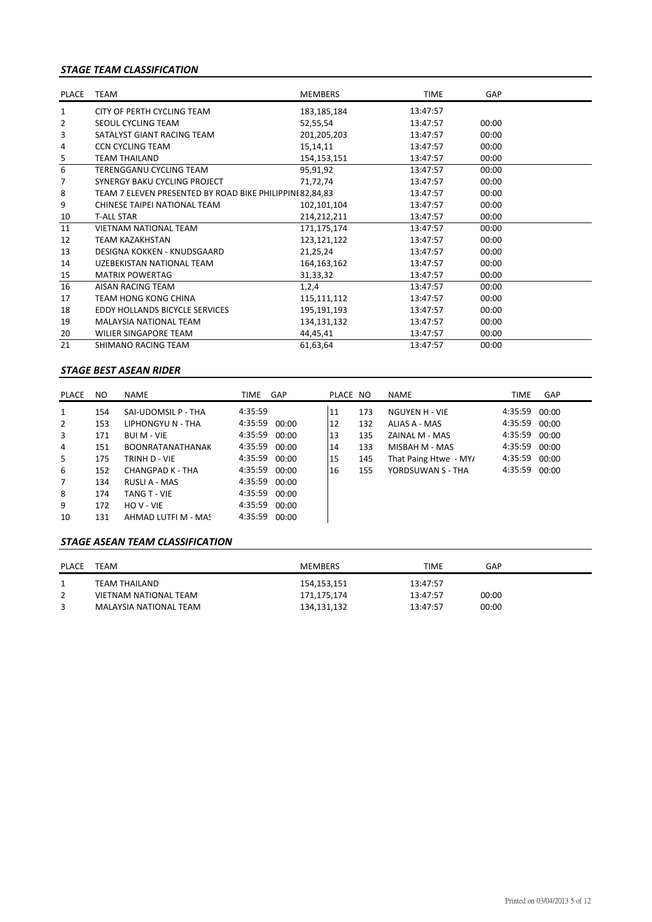## *STAGE TEAM CLASSIFICATION*

| PLACE                   | <b>TEAM</b>                                              | <b>MEMBERS</b> | <b>TIME</b> | GAP   |  |
|-------------------------|----------------------------------------------------------|----------------|-------------|-------|--|
| 1                       | CITY OF PERTH CYCLING TEAM                               | 183, 185, 184  | 13:47:57    |       |  |
| 2                       | SEOUL CYCLING TEAM                                       | 52,55,54       | 13:47:57    | 00:00 |  |
| 3                       | SATALYST GIANT RACING TEAM                               | 201,205,203    | 13:47:57    | 00:00 |  |
| 4                       | <b>CCN CYCLING TEAM</b>                                  | 15,14,11       | 13:47:57    | 00:00 |  |
| $\overline{\mathbf{5}}$ | <b>TEAM THAILAND</b>                                     | 154, 153, 151  | 13:47:57    | 00:00 |  |
| 6                       | TERENGGANU CYCLING TEAM                                  | 95,91,92       | 13:47:57    | 00:00 |  |
| 7                       | SYNERGY BAKU CYCLING PROJECT                             | 71,72,74       | 13:47:57    | 00:00 |  |
| 8                       | TEAM 7 ELEVEN PRESENTED BY ROAD BIKE PHILIPPINI 82,84,83 |                | 13:47:57    | 00:00 |  |
| 9                       | CHINESE TAIPEI NATIONAL TEAM                             | 102,101,104    | 13:47:57    | 00:00 |  |
| 10                      | <b>T-ALL STAR</b>                                        | 214, 212, 211  | 13:47:57    | 00:00 |  |
| 11                      | <b>VIETNAM NATIONAL TEAM</b>                             | 171,175,174    | 13:47:57    | 00:00 |  |
| 12                      | <b>TEAM KAZAKHSTAN</b>                                   | 123,121,122    | 13:47:57    | 00:00 |  |
| 13                      | DESIGNA KOKKEN - KNUDSGAARD                              | 21,25,24       | 13:47:57    | 00:00 |  |
| 14                      | UZEBEKISTAN NATIONAL TEAM                                | 164, 163, 162  | 13:47:57    | 00:00 |  |
| 15                      | <b>MATRIX POWERTAG</b>                                   | 31,33,32       | 13:47:57    | 00:00 |  |
| 16                      | AISAN RACING TEAM                                        | 1,2,4          | 13:47:57    | 00:00 |  |
| 17                      | <b>TEAM HONG KONG CHINA</b>                              | 115,111,112    | 13:47:57    | 00:00 |  |
| 18                      | EDDY HOLLANDS BICYCLE SERVICES                           | 195,191,193    | 13:47:57    | 00:00 |  |
| 19                      | <b>MALAYSIA NATIONAL TEAM</b>                            | 134,131,132    | 13:47:57    | 00:00 |  |
| 20                      | <b>WILIER SINGAPORE TEAM</b>                             | 44,45,41       | 13:47:57    | 00:00 |  |
| 21                      | SHIMANO RACING TEAM                                      | 61,63,64       | 13:47:57    | 00:00 |  |

## *STAGE BEST ASEAN RIDER*

| PLACE          | NO. | NAME                    | TIME          | GAP   | PLACE NO |     | <b>NAME</b>           | TIME          | GAP   |
|----------------|-----|-------------------------|---------------|-------|----------|-----|-----------------------|---------------|-------|
| $\mathbf{1}$   | 154 | SAI-UDOMSIL P - THA     | 4:35:59       |       | 11       | 173 | NGUYEN H - VIE        | 4:35:59 00:00 |       |
| $\overline{2}$ | 153 | LIPHONGYU N - THA       | 4:35:59 00:00 |       | 12       | 132 | ALIAS A - MAS         | 4:35:59 00:00 |       |
| 3              | 171 | <b>BUI M - VIE</b>      | 4:35:59 00:00 |       | 13       | 135 | ZAINAL M - MAS        | 4:35:59 00:00 |       |
| 4              | 151 | <b>BOONRATANATHANAK</b> | 4:35:59 00:00 |       | 14       | 133 | MISBAH M - MAS        | 4:35:59 00:00 |       |
| 5              | 175 | TRINH D - VIE           | 4:35:59 00:00 |       | 15       | 145 | That Paing Htwe - MY/ | 4:35:59 00:00 |       |
| 6              | 152 | CHANGPAD K - THA        | 4:35:59       | 00:00 | 16       | 155 | YORDSUWAN S - THA     | 4:35:59       | 00:00 |
| 7              | 134 | RUSLI A - MAS           | 4:35:59 00:00 |       |          |     |                       |               |       |
| 8              | 174 | <b>TANG T - VIE</b>     | 4:35:59       | 00:00 |          |     |                       |               |       |
| 9              | 172 | $HO$ V - VIF            | 4:35:59       | 00:00 |          |     |                       |               |       |
| 10             | 131 | AHMAD LUTFI M - MAS     | 4:35:59       | 00:00 |          |     |                       |               |       |

## *STAGE ASEAN TEAM CLASSIFICATION*

| PLACE | TEAM                   | <b>MEMBERS</b> | TIME     | GAP   |
|-------|------------------------|----------------|----------|-------|
|       | TEAM THAILAND          | 154,153,151    | 13:47:57 |       |
|       | VIETNAM NATIONAL TEAM  | 171,175,174    | 13:47:57 | 00:00 |
|       | MALAYSIA NATIONAL TEAM | 134,131,132    | 13:47:57 | 00:00 |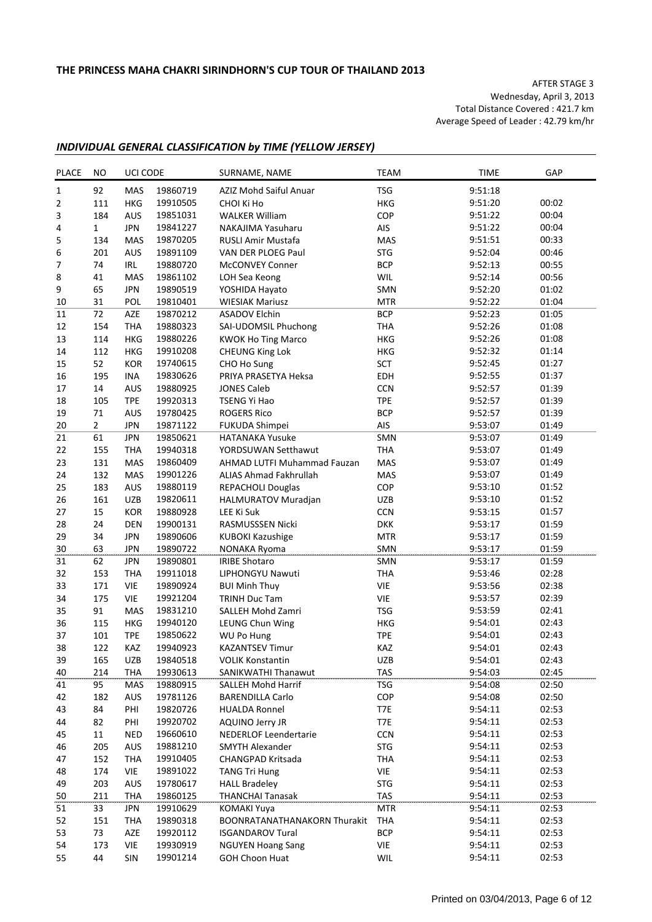AFTER STAGE 3 Wednesday, April 3, 2013 Total Distance Covered : 421.7 km Average Speed of Leader : 42.79 km/hr

## *INDIVIDUAL GENERAL CLASSIFICATION by TIME (YELLOW JERSEY)*

| <b>PLACE</b>   | NO.            | UCI CODE   |          | SURNAME, NAME                 | <b>TEAM</b> | <b>TIME</b> | GAP   |
|----------------|----------------|------------|----------|-------------------------------|-------------|-------------|-------|
| $\mathbf{1}$   | 92             | MAS        | 19860719 | AZIZ Mohd Saiful Anuar        | <b>TSG</b>  | 9:51:18     |       |
| $\overline{2}$ | 111            | <b>HKG</b> | 19910505 | CHOI Ki Ho                    | <b>HKG</b>  | 9:51:20     | 00:02 |
| 3              | 184            | AUS        | 19851031 | <b>WALKER William</b>         | COP         | 9:51:22     | 00:04 |
| 4              | 1              | <b>JPN</b> | 19841227 | NAKAJIMA Yasuharu             | AIS         | 9:51:22     | 00:04 |
| 5              | 134            | MAS        | 19870205 | RUSLI Amir Mustafa            | MAS         | 9:51:51     | 00:33 |
| 6              | 201            | AUS        | 19891109 | VAN DER PLOEG Paul            | <b>STG</b>  | 9:52:04     | 00:46 |
| 7              | 74             | IRL        | 19880720 | <b>McCONVEY Conner</b>        | <b>BCP</b>  | 9:52:13     | 00:55 |
| 8              | 41             | <b>MAS</b> | 19861102 | LOH Sea Keong                 | WIL         | 9:52:14     | 00:56 |
| 9              | 65             | <b>JPN</b> | 19890519 | YOSHIDA Hayato                | SMN         | 9:52:20     | 01:02 |
| 10             | 31             | POL        | 19810401 | <b>WIESIAK Mariusz</b>        | <b>MTR</b>  | 9:52:22     | 01:04 |
|                | 72             |            | 19870212 | <b>ASADOV Elchin</b>          | <b>BCP</b>  | 9:52:23     | 01:05 |
| 11             |                | AZE        |          |                               |             |             |       |
| 12             | 154            | <b>THA</b> | 19880323 | SAI-UDOMSIL Phuchong          | <b>THA</b>  | 9:52:26     | 01:08 |
| 13             | 114            | HKG        | 19880226 | <b>KWOK Ho Ting Marco</b>     | <b>HKG</b>  | 9:52:26     | 01:08 |
| 14             | 112            | HKG        | 19910208 | <b>CHEUNG King Lok</b>        | <b>HKG</b>  | 9:52:32     | 01:14 |
| 15             | 52             | KOR        | 19740615 | CHO Ho Sung                   | SCT         | 9:52:45     | 01:27 |
| 16             | 195            | INA        | 19830626 | PRIYA PRASETYA Heksa          | EDH         | 9:52:55     | 01:37 |
| 17             | 14             | AUS        | 19880925 | <b>JONES Caleb</b>            | <b>CCN</b>  | 9:52:57     | 01:39 |
| 18             | 105            | <b>TPE</b> | 19920313 | <b>TSENG Yi Hao</b>           | <b>TPE</b>  | 9:52:57     | 01:39 |
| 19             | 71             | AUS        | 19780425 | <b>ROGERS Rico</b>            | <b>BCP</b>  | 9:52:57     | 01:39 |
| 20             | $\overline{2}$ | <b>JPN</b> | 19871122 | FUKUDA Shimpei                | AIS         | 9:53:07     | 01:49 |
| 21             | 61             | <b>JPN</b> | 19850621 | <b>HATANAKA Yusuke</b>        | SMN         | 9:53:07     | 01:49 |
| 22             | 155            | <b>THA</b> | 19940318 | YORDSUWAN Setthawut           | <b>THA</b>  | 9:53:07     | 01:49 |
| 23             | 131            | MAS        | 19860409 | AHMAD LUTFI Muhammad Fauzan   | <b>MAS</b>  | 9:53:07     | 01:49 |
| 24             | 132            | <b>MAS</b> | 19901226 | <b>ALIAS Ahmad Fakhrullah</b> | <b>MAS</b>  | 9:53:07     | 01:49 |
| 25             | 183            | AUS        | 19880119 | REPACHOLI Douglas             | COP         | 9:53:10     | 01:52 |
| 26             | 161            | <b>UZB</b> | 19820611 | HALMURATOV Muradjan           | <b>UZB</b>  | 9:53:10     | 01:52 |
| 27             | 15             | KOR        | 19880928 | LEE Ki Suk                    | <b>CCN</b>  | 9:53:15     | 01:57 |
| 28             | 24             | DEN        | 19900131 | RASMUSSSEN Nicki              | <b>DKK</b>  | 9:53:17     | 01:59 |
| 29             | 34             | <b>JPN</b> | 19890606 | <b>KUBOKI Kazushige</b>       | <b>MTR</b>  | 9:53:17     | 01:59 |
| 30             | 63             | <b>JPN</b> | 19890722 | NONAKA Ryoma                  | SMN         | 9:53:17     | 01:59 |
| 31             | 62             | <b>JPN</b> | 19890801 | <b>IRIBE Shotaro</b>          | SMN         | 9:53:17     | 01:59 |
| 32             | 153            | <b>THA</b> | 19911018 | LIPHONGYU Nawuti              | <b>THA</b>  | 9:53:46     | 02:28 |
| 33             | 171            | <b>VIE</b> | 19890924 | <b>BUI Minh Thuy</b>          | VIE         | 9:53:56     | 02:38 |
| 34             | 175            | <b>VIE</b> | 19921204 | <b>TRINH Duc Tam</b>          | VIE         | 9:53:57     | 02:39 |
| 35             | 91             | <b>MAS</b> | 19831210 | SALLEH Mohd Zamri             | <b>TSG</b>  | 9:53:59     | 02:41 |
| 36             | 115            | HKG        | 19940120 | LEUNG Chun Wing               | <b>HKG</b>  | 9:54:01     | 02:43 |
| 37             | 101            | <b>TPE</b> | 19850622 | <b>WU Po Hung</b>             | <b>TPE</b>  | 9:54:01     | 02:43 |
| 38             | 122            | KAZ        | 19940923 | <b>KAZANTSEV Timur</b>        | KAZ         | 9:54:01     | 02:43 |
| 39             | 165            | UZB        | 19840518 | <b>VOLIK Konstantin</b>       | UZB         | 9:54:01     | 02:43 |
| 40             | 214            | <b>THA</b> | 19930613 | SANIKWATHI Thanawut           | <b>TAS</b>  | 9:54:03     | 02:45 |
| 41             | 95             | MAS        | 19880915 | SALLEH Mohd Harrif            | <b>TSG</b>  | 9:54:08     | 02:50 |
| 42             | 182            | AUS        | 19781126 | <b>BARENDILLA Carlo</b>       | COP         | 9:54:08     | 02:50 |
|                |                |            |          | <b>HUALDA Ronnel</b>          |             | 9:54:11     | 02:53 |
| 43             | 84             | PHI        | 19820726 |                               | T7E         |             |       |
| 44             | 82             | PHI        | 19920702 | AQUINO Jerry JR               | T7E         | 9:54:11     | 02:53 |
| 45             | 11             | <b>NED</b> | 19660610 | NEDERLOF Leendertarie         | <b>CCN</b>  | 9:54:11     | 02:53 |
| 46             | 205            | AUS        | 19881210 | <b>SMYTH Alexander</b>        | <b>STG</b>  | 9:54:11     | 02:53 |
| 47             | 152            | <b>THA</b> | 19910405 | CHANGPAD Kritsada             | <b>THA</b>  | 9:54:11     | 02:53 |
| 48             | 174            | VIE        | 19891022 | <b>TANG Tri Hung</b>          | VIE         | 9:54:11     | 02:53 |
| 49             | 203            | AUS        | 19780617 | <b>HALL Bradeley</b>          | <b>STG</b>  | 9:54:11     | 02:53 |
| 50             | 211            | <b>THA</b> | 19860125 | <b>THANCHAI Tanasak</b>       | TAS         | 9:54:11     | 02:53 |
| 51             | 33             | <b>JPN</b> | 19910629 | <b>KOMAKI Yuya</b>            | <b>MTR</b>  | 9:54:11     | 02:53 |
| 52             | 151            | <b>THA</b> | 19890318 | BOONRATANATHANAKORN Thurakit  | THA         | 9:54:11     | 02:53 |
| 53             | 73             | AZE        | 19920112 | <b>ISGANDAROV Tural</b>       | <b>BCP</b>  | 9:54:11     | 02:53 |
| 54             | 173            | <b>VIE</b> | 19930919 | <b>NGUYEN Hoang Sang</b>      | VIE         | 9:54:11     | 02:53 |
| 55             | 44             | SIN        | 19901214 | <b>GOH Choon Huat</b>         | WIL         | 9:54:11     | 02:53 |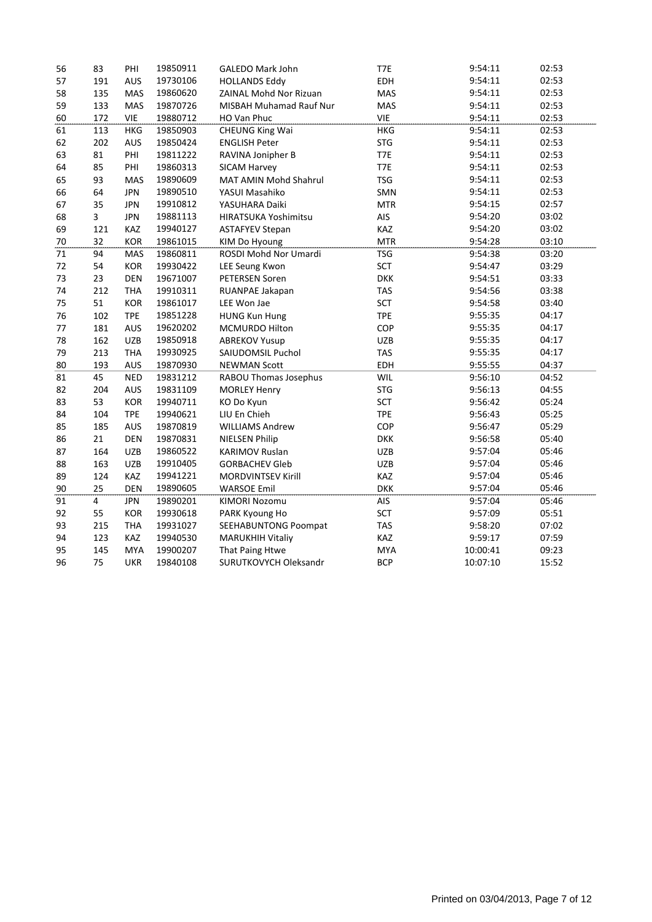| 56 | 83             | PHI        | 19850911 | <b>GALEDO Mark John</b>        | T7E        | 9:54:11  | 02:53 |
|----|----------------|------------|----------|--------------------------------|------------|----------|-------|
| 57 | 191            | <b>AUS</b> | 19730106 | <b>HOLLANDS Eddy</b>           | EDH        | 9:54:11  | 02:53 |
| 58 | 135            | MAS        | 19860620 | ZAINAL Mohd Nor Rizuan         | MAS        | 9:54:11  | 02:53 |
| 59 | 133            | MAS        | 19870726 | <b>MISBAH Muhamad Rauf Nur</b> | MAS        | 9:54:11  | 02:53 |
| 60 | 172            | <b>VIE</b> | 19880712 | HO Van Phuc                    | <b>VIE</b> | 9:54:11  | 02:53 |
| 61 | 113            | <b>HKG</b> | 19850903 | <b>CHEUNG King Wai</b>         | HKG        | 9:54:11  | 02:53 |
| 62 | 202            | AUS        | 19850424 | <b>ENGLISH Peter</b>           | <b>STG</b> | 9:54:11  | 02:53 |
| 63 | 81             | PHI        | 19811222 | RAVINA Jonipher B              | T7E        | 9:54:11  | 02:53 |
| 64 | 85             | PHI        | 19860313 | SICAM Harvey                   | T7E        | 9:54:11  | 02:53 |
| 65 | 93             | <b>MAS</b> | 19890609 | MAT AMIN Mohd Shahrul          | <b>TSG</b> | 9:54:11  | 02:53 |
| 66 | 64             | <b>JPN</b> | 19890510 | YASUI Masahiko                 | SMN        | 9:54:11  | 02:53 |
| 67 | 35             | <b>JPN</b> | 19910812 | YASUHARA Daiki                 | <b>MTR</b> | 9:54:15  | 02:57 |
| 68 | 3              | <b>JPN</b> | 19881113 | HIRATSUKA Yoshimitsu           | AIS        | 9:54:20  | 03:02 |
| 69 | 121            | KAZ        | 19940127 | <b>ASTAFYEV Stepan</b>         | KAZ        | 9:54:20  | 03:02 |
| 70 | 32             | <b>KOR</b> | 19861015 | KIM Do Hyoung                  | <b>MTR</b> | 9:54:28  | 03:10 |
| 71 | 94             | <b>MAS</b> | 19860811 | ROSDI Mohd Nor Umardi          | <b>TSG</b> | 9:54:38  | 03:20 |
| 72 | 54             | KOR        | 19930422 | LEE Seung Kwon                 | <b>SCT</b> | 9:54:47  | 03:29 |
| 73 | 23             | <b>DEN</b> | 19671007 | PETERSEN Soren                 | <b>DKK</b> | 9:54:51  | 03:33 |
| 74 | 212            | <b>THA</b> | 19910311 | RUANPAE Jakapan                | <b>TAS</b> | 9:54:56  | 03:38 |
| 75 | 51             | <b>KOR</b> | 19861017 | LEE Won Jae                    | <b>SCT</b> | 9:54:58  | 03:40 |
| 76 | 102            | <b>TPE</b> | 19851228 | <b>HUNG Kun Hung</b>           | <b>TPE</b> | 9:55:35  | 04:17 |
| 77 | 181            | AUS        | 19620202 | MCMURDO Hilton                 | COP        | 9:55:35  | 04:17 |
| 78 | 162            | <b>UZB</b> | 19850918 | <b>ABREKOV Yusup</b>           | <b>UZB</b> | 9:55:35  | 04:17 |
| 79 | 213            | <b>THA</b> | 19930925 | SAIUDOMSIL Puchol              | <b>TAS</b> | 9:55:35  | 04:17 |
| 80 | 193            | AUS        | 19870930 | <b>NEWMAN Scott</b>            | EDH        | 9:55:55  | 04:37 |
| 81 | 45             | <b>NED</b> | 19831212 | RABOU Thomas Josephus          | <b>WIL</b> | 9:56:10  | 04:52 |
| 82 | 204            | <b>AUS</b> | 19831109 | <b>MORLEY Henry</b>            | <b>STG</b> | 9:56:13  | 04:55 |
| 83 | 53             | KOR        | 19940711 | KO Do Kyun                     | <b>SCT</b> | 9:56:42  | 05:24 |
| 84 | 104            | <b>TPE</b> | 19940621 | LIU En Chieh                   | <b>TPE</b> | 9:56:43  | 05:25 |
| 85 | 185            | AUS        | 19870819 | <b>WILLIAMS Andrew</b>         | COP        | 9:56:47  | 05:29 |
| 86 | 21             | DEN        | 19870831 | <b>NIELSEN Philip</b>          | <b>DKK</b> | 9:56:58  | 05:40 |
| 87 | 164            | <b>UZB</b> | 19860522 | <b>KARIMOV Ruslan</b>          | <b>UZB</b> | 9:57:04  | 05:46 |
| 88 | 163            | <b>UZB</b> | 19910405 | <b>GORBACHEV Gleb</b>          | <b>UZB</b> | 9:57:04  | 05:46 |
| 89 | 124            | KAZ        | 19941221 | <b>MORDVINTSEV Kirill</b>      | KAZ        | 9:57:04  | 05:46 |
| 90 | 25             | <b>DEN</b> | 19890605 | <b>WARSOE Emil</b>             | <b>DKK</b> | 9:57:04  | 05:46 |
| 91 | $\overline{4}$ | <b>JPN</b> | 19890201 | <b>KIMORI Nozomu</b>           | AIS        | 9:57:04  | 05:46 |
| 92 | 55             | <b>KOR</b> | 19930618 | PARK Kyoung Ho                 | <b>SCT</b> | 9:57:09  | 05:51 |
| 93 | 215            | <b>THA</b> | 19931027 | SEEHABUNTONG Poompat           | <b>TAS</b> | 9:58:20  | 07:02 |
| 94 | 123            | KAZ        | 19940530 | <b>MARUKHIH Vitaliy</b>        | KAZ        | 9:59:17  | 07:59 |
| 95 | 145            | <b>MYA</b> | 19900207 | That Paing Htwe                | <b>MYA</b> | 10:00:41 | 09:23 |
| 96 | 75             | <b>UKR</b> | 19840108 | SURUTKOVYCH Oleksandr          | <b>BCP</b> | 10:07:10 | 15:52 |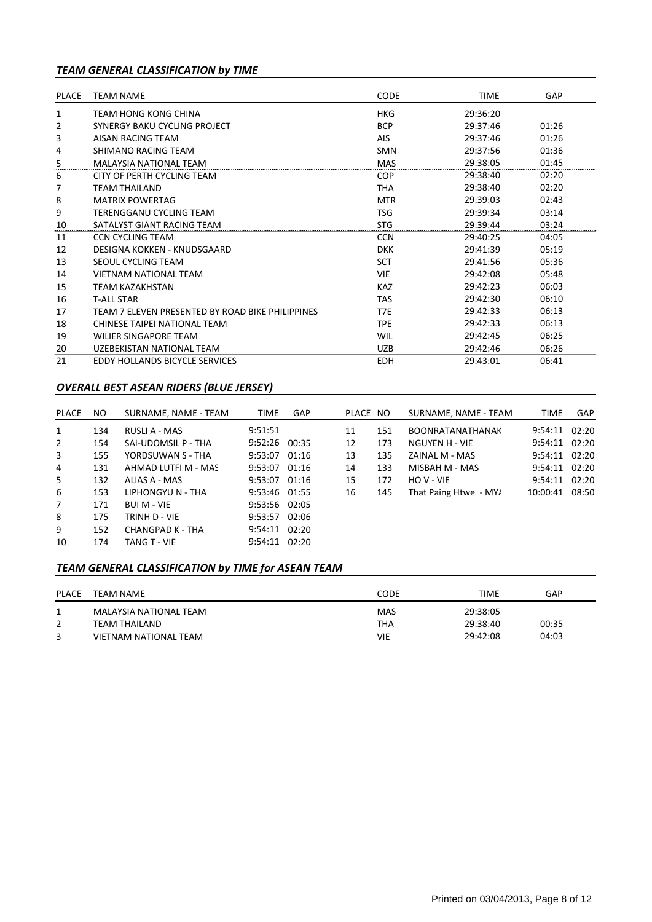## *TEAM GENERAL CLASSIFICATION by TIME*

| <b>PLACE</b> | <b>TEAM NAME</b>                                 | <b>CODE</b> | <b>TIME</b> | GAP   |
|--------------|--------------------------------------------------|-------------|-------------|-------|
| 1            | TEAM HONG KONG CHINA                             | <b>HKG</b>  | 29:36:20    |       |
| 2            | SYNERGY BAKU CYCLING PROJECT                     | <b>BCP</b>  | 29:37:46    | 01:26 |
| 3            | AISAN RACING TEAM                                | <b>AIS</b>  | 29:37:46    | 01:26 |
| 4            | SHIMANO RACING TFAM                              | <b>SMN</b>  | 29:37:56    | 01:36 |
| 5            | <b>MALAYSIA NATIONAL TEAM</b>                    | MAS         | 29:38:05    | 01:45 |
| 6            | CITY OF PERTH CYCLING TEAM                       | <b>COP</b>  | 29:38:40    | 02:20 |
| 7            | <b>TEAM THAILAND</b>                             | THA         | 29:38:40    | 02:20 |
| 8            | <b>MATRIX POWERTAG</b>                           | <b>MTR</b>  | 29:39:03    | 02:43 |
| 9            | <b>TERENGGANU CYCLING TEAM</b>                   | <b>TSG</b>  | 29:39:34    | 03:14 |
| 10           | SATAI YST GIANT RACING TFAM                      | <b>STG</b>  | 29:39:44    | 03:24 |
| 11           | CCN CYCLING TEAM                                 | <b>CCN</b>  | 29:40:25    | 04:05 |
| 12           | <b>DESIGNA KOKKEN - KNUDSGAARD</b>               | <b>DKK</b>  | 29:41:39    | 05:19 |
| 13           | SEOUL CYCLING TEAM                               | SCT         | 29:41:56    | 05:36 |
| 14           | <b>VIFTNAM NATIONAL TFAM</b>                     | <b>VIE</b>  | 29:42:08    | 05:48 |
| 15           | <b>TEAM KAZAKHSTAN</b>                           | <b>KAZ</b>  | 29:42:23    | 06:03 |
| 16           | <b>T-ALL STAR</b>                                | TAS         | 29:42:30    | 06:10 |
| 17           | TEAM 7 FLEVEN PRESENTED BY ROAD BIKE PHILIPPINES | T7E         | 29:42:33    | 06:13 |
| 18           | CHINESE TAIPEI NATIONAL TEAM                     | <b>TPE</b>  | 29:42:33    | 06:13 |
| 19           | WILIER SINGAPORE TEAM                            | WIL         | 29:42:45    | 06:25 |
| 20           | UZEBEKISTAN NATIONAL TEAM                        | <b>UZB</b>  | 29:42:46    | 06:26 |
| 21           | <b>FDDY HOLLANDS BICYCLE SERVICES</b>            | <b>EDH</b>  | 29:43:01    | 06:41 |

## *OVERALL BEST ASEAN RIDERS (BLUE JERSEY)*

| PLACE          | NO. | SURNAME, NAME - TEAM | <b>TIME</b>     | GAP   | PLACE NO |     | SURNAME, NAME - TEAM    | <b>TIME</b>       | GAP   |
|----------------|-----|----------------------|-----------------|-------|----------|-----|-------------------------|-------------------|-------|
| $\mathbf{1}$   | 134 | RUSLI A - MAS        | 9:51:51         |       | 11       | 151 | <b>BOONRATANATHANAK</b> | $9:54:11$ $02:20$ |       |
| $\overline{2}$ | 154 | SAI-UDOMSIL P - THA  | $9:52:26$ 00:35 |       | 12       | 173 | NGUYEN H - VIE          | $9:54:11$ $02:20$ |       |
| 3              | 155 | YORDSUWAN S - THA    | 9:53:07         | 01:16 | 13       | 135 | ZAINAL M - MAS          | 9:54:11 02:20     |       |
| $\overline{4}$ | 131 | AHMAD LUTFI M - MAS  | 9:53:07 01:16   |       | 14       | 133 | MISBAH M - MAS          | $9:54:11$ $02:20$ |       |
| 5              | 132 | ALIAS A - MAS        | 9:53:07 01:16   |       | 15       | 172 | HOV-VIE                 | 9:54:11           | 02:20 |
| 6              | 153 | LIPHONGYU N - THA    | 9:53:46 01:55   |       | 16       | 145 | That Paing Htwe - MY/   | 10:00:41          | 08:50 |
| $\overline{7}$ | 171 | <b>BUI M - VIE</b>   | 9:53:56 02:05   |       |          |     |                         |                   |       |
| 8              | 175 | TRINH D - VIE        | 9:53:57 02:06   |       |          |     |                         |                   |       |
| 9              | 152 | CHANGPAD K - THA     | 9:54:11 02:20   |       |          |     |                         |                   |       |
| 10             | 174 | <b>TANG T - VIE</b>  | $9:54:11$ 02:20 |       |          |     |                         |                   |       |

## *TEAM GENERAL CLASSIFICATION by TIME for ASEAN TEAM*

| <b>PLACE</b> | TEAM NAME                               | CODE                     | TIME                 | GAP   |
|--------------|-----------------------------------------|--------------------------|----------------------|-------|
|              | MALAYSIA NATIONAL TEAM<br>TEAM THAILAND | <b>MAS</b><br><b>THA</b> | 29:38:05<br>29:38:40 | 00:35 |
|              | VIETNAM NATIONAL TEAM                   | VIE                      | 29:42:08             | 04:03 |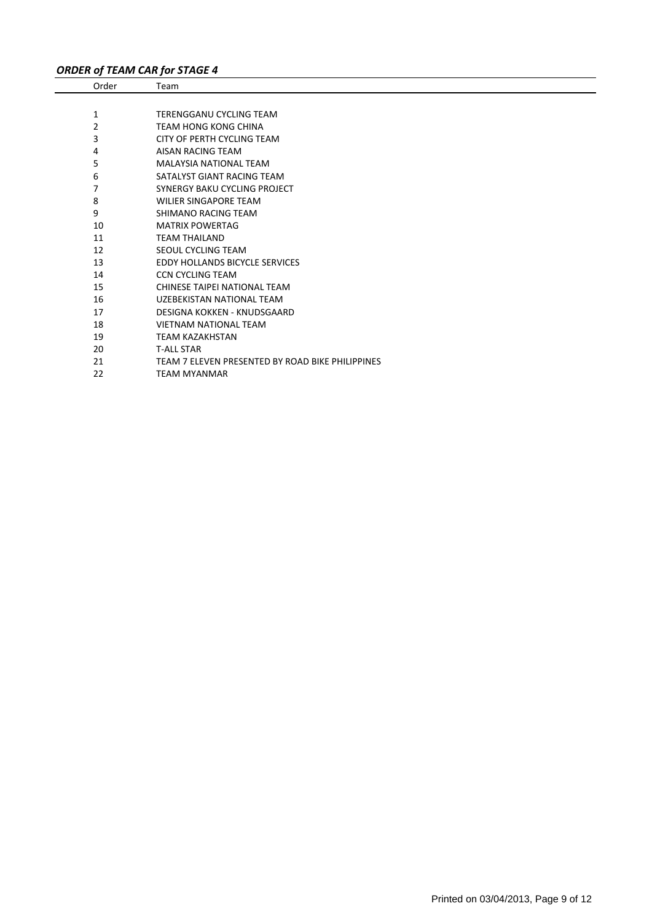# *ORDER of TEAM CAR for STAGE 4*

| Order | Team                                             |
|-------|--------------------------------------------------|
|       |                                                  |
| 1     | TERENGGANU CYCLING TEAM                          |
| 2     | <b>TEAM HONG KONG CHINA</b>                      |
| 3     | CITY OF PERTH CYCLING TEAM                       |
| 4     | AISAN RACING TEAM                                |
| 5     | <b>MALAYSIA NATIONAL TEAM</b>                    |
| 6     | SATALYST GIANT RACING TEAM                       |
| 7     | <b>SYNERGY BAKU CYCLING PROJECT</b>              |
| 8     | <b>WILIER SINGAPORE TEAM</b>                     |
| 9     | SHIMANO RACING TEAM                              |
| 10    | <b>MATRIX POWERTAG</b>                           |
| 11    | <b>TEAM THAILAND</b>                             |
| 12    | SEOUL CYCLING TEAM                               |
| 13    | <b>EDDY HOLLANDS BICYCLE SERVICES</b>            |
| 14    | <b>CCN CYCLING TEAM</b>                          |
| 15    | CHINESE TAIPEI NATIONAL TEAM                     |
| 16    | UZEBEKISTAN NATIONAL TEAM                        |
| 17    | DESIGNA KOKKEN - KNUDSGAARD                      |
| 18    | <b>VIETNAM NATIONAL TEAM</b>                     |
| 19    | <b>TEAM KAZAKHSTAN</b>                           |
| 20    | <b>T-ALL STAR</b>                                |
| 21    | TEAM 7 ELEVEN PRESENTED BY ROAD BIKE PHILIPPINES |
| 22    | <b>TEAM MYANMAR</b>                              |
|       |                                                  |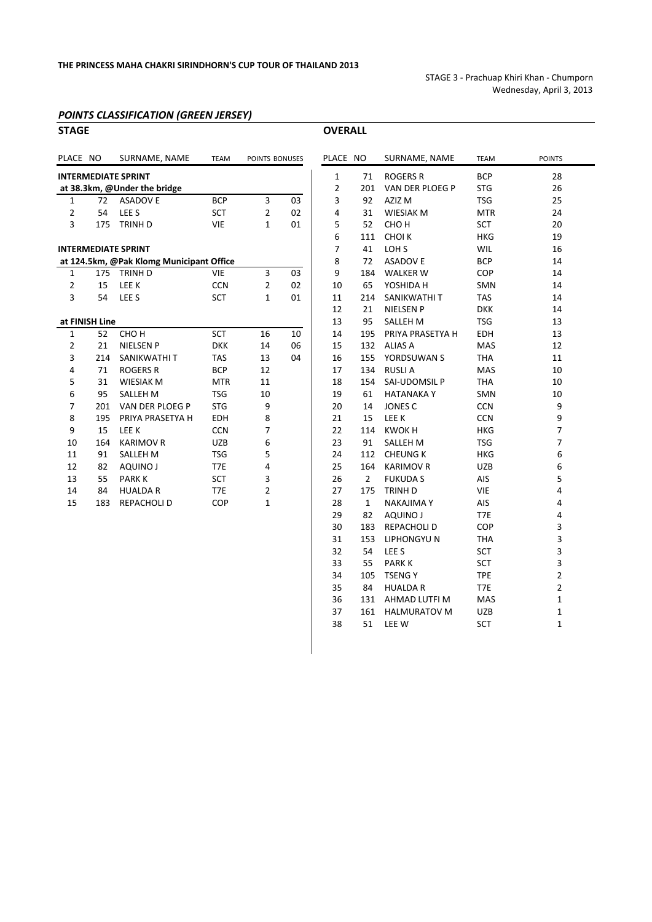STAGE 3 ‐ Prachuap Khiri Khan ‐ Chumporn Wednesday, April 3, 2013

## *POINTS CLASSIFICATION (GREEN JERSEY)*

| <b>STAGE</b>   |     |                                          |             |                |    | <b>OVERALL</b> |                |                                                             |             |           |
|----------------|-----|------------------------------------------|-------------|----------------|----|----------------|----------------|-------------------------------------------------------------|-------------|-----------|
| PLACE NO       |     | SURNAME, NAME                            | <b>TEAM</b> | POINTS BONUSES |    | PLACE NO       |                | SURNAME, NAME                                               | <b>TEAM</b> | POINTS    |
|                |     | <b>INTERMEDIATE SPRINT</b>               |             |                |    | $\mathbf{1}$   | 71             | <b>ROGERS R</b>                                             | <b>BCP</b>  | 28        |
|                |     | at 38.3km, @Under the bridge             |             |                |    | 2              | 201            | VAN DER PLOEG P                                             | <b>STG</b>  | 26        |
| $\mathbf{1}$   | 72  | <b>ASADOVE</b>                           | <b>BCP</b>  | 3              | 03 | 3              | 92             | AZIZ M                                                      | <b>TSG</b>  | 25        |
| 2              | 54  | LEE <sub>S</sub>                         | <b>SCT</b>  | 2              | 02 | 4              | 31             | <b>WIESIAK M</b>                                            | <b>MTR</b>  | 24        |
| 3              | 175 | <b>TRINH D</b>                           | <b>VIE</b>  | $\mathbf{1}$   | 01 | 5              | 52             | CHO <sub>H</sub>                                            | <b>SCT</b>  | 20        |
|                |     |                                          |             |                |    | 6              | 111            | <b>CHOIK</b>                                                | <b>HKG</b>  | 19        |
|                |     | <b>INTERMEDIATE SPRINT</b>               |             |                |    | 7              | 41             | LOH <sub>S</sub>                                            | WIL         | 16        |
|                |     | at 124.5km, @Pak Klomg Municipant Office |             |                |    | 8              | 72             | <b>ASADOV E</b>                                             | <b>BCP</b>  | 14        |
| $\mathbf{1}$   | 175 | TRINH D                                  | <b>VIE</b>  | 3              | 03 | 9              | 184            | <b>WALKER W</b>                                             | COP         | 14        |
| 2              | 15  | LEE K                                    | <b>CCN</b>  | 2              | 02 | 10             | 65             | YOSHIDA H                                                   | <b>SMN</b>  | 14        |
| 3              | 54  | LEE <sub>S</sub>                         | <b>SCT</b>  | 1              | 01 | 11             | 214            | SANIKWATHI T                                                | <b>TAS</b>  | 14        |
|                |     |                                          |             |                |    | 12             | 21             | <b>NIELSEN P</b>                                            | <b>DKK</b>  | 14        |
| at FINISH Line |     |                                          |             |                |    | 13             | 95             | <b>SALLEH M</b>                                             | <b>TSG</b>  | 13        |
| 1              | 52  | CHO <sub>H</sub>                         | <b>SCT</b>  | 16             | 10 | 14             | 195            | PRIYA PRASETYA H                                            | <b>EDH</b>  | 13        |
| $\overline{2}$ | 21  | <b>NIELSEN P</b>                         | <b>DKK</b>  | 14             | 06 | 15             | 132            | <b>ALIAS A</b>                                              | MAS         | 12        |
| 3              | 214 | SANIKWATHI T                             | <b>TAS</b>  | 13             | 04 | 16             | 155            | YORDSUWAN S                                                 | <b>THA</b>  | 11        |
| 4              | 71  | <b>ROGERS R</b>                          | <b>BCP</b>  | 12             |    | 17             | 134            | <b>RUSLIA</b>                                               | <b>MAS</b>  | 10        |
| 5              | 31  | <b>WIESIAK M</b>                         | <b>MTR</b>  | 11             |    | 18             | 154            | SAI-UDOMSIL P                                               | <b>THA</b>  | 10        |
| 6              | 95  | <b>SALLEH M</b>                          | <b>TSG</b>  | 10             |    | 19             | 61             | <b>HATANAKAY</b>                                            | <b>SMN</b>  | 10        |
| 7              | 201 | VAN DER PLOEG P                          | <b>STG</b>  | 9              |    | 20             | 14             | <b>JONES C</b>                                              | <b>CCN</b>  | 9         |
| 8              | 195 | PRIYA PRASETYA H                         | <b>EDH</b>  | 8              |    | 21             | 15             | LEE K                                                       | <b>CCN</b>  | 9         |
| 9              | 15  | LEE K                                    | <b>CCN</b>  | 7              |    | 22             | 114            | <b>KWOKH</b>                                                | <b>HKG</b>  | 7         |
| 10             | 164 | <b>KARIMOV R</b>                         | <b>UZB</b>  | 6              |    | 23             | 91             | <b>SALLEH M</b>                                             | <b>TSG</b>  | 7         |
| 11             | 91  | <b>SALLEH M</b>                          | <b>TSG</b>  | 5              |    | 24             | 112            | <b>CHEUNG K</b>                                             | <b>HKG</b>  | 6         |
| 12             | 82  | <b>AQUINO J</b>                          | T7E         | 4              |    | 25             | 164            | <b>KARIMOV R</b>                                            | <b>UZB</b>  | 6         |
| 13             | 55  | <b>PARKK</b>                             | <b>SCT</b>  | 3              |    | 26             | $\overline{2}$ | <b>FUKUDAS</b>                                              | AIS         | 5         |
| 14             | 84  | <b>HUALDA R</b>                          | T7E         | 2              |    | 27             | 175            | TRINH D                                                     | <b>VIE</b>  | 4         |
| 15             | 183 | <b>REPACHOLI D</b>                       | COP         | 1              |    | 28             | $\mathbf{1}$   | <b>NAKAJIMA Y</b>                                           | AIS         | 4         |
|                |     |                                          |             |                |    | nn.            | ດາ             | $\Lambda$ $\Lambda$ $\Lambda$ $\Lambda$ $\Lambda$ $\Lambda$ | T2F         | $\lambda$ |

|                |              | ACE NO SURNAME, NAME TEAM |            | <b>POINTS</b>           |
|----------------|--------------|---------------------------|------------|-------------------------|
| $\mathbf{1}$   |              | 71 ROGERS R               | <b>BCP</b> | 28                      |
| $\overline{2}$ |              | 201 VAN DER PLOEG P       | <b>STG</b> | 26                      |
| 3              | 92           | AZIZ M                    | <b>TSG</b> | 25                      |
| 4              | 31           | <b>WIESIAK M</b>          | <b>MTR</b> | 24                      |
| 5              | 52           | CHO H                     | <b>SCT</b> | 20                      |
| 6              | 111          | CHOI K                    | <b>HKG</b> | 19                      |
| $\overline{7}$ | 41           | LOH S                     | WIL        | 16                      |
| 8              | 72           | <b>ASADOV E</b>           | <b>BCP</b> | 14                      |
| 9              |              | 184 WALKER W              | <b>COP</b> | 14                      |
| 10             | 65           | YOSHIDA H                 | SMN        | 14                      |
| 11             | 214          | SANIKWATHI T              | <b>TAS</b> | 14                      |
| 12             | 21           | NIELSEN P                 | <b>DKK</b> | 14                      |
| 13             | 95           | SALLEH M                  | TSG        | 13                      |
| 14             |              | 195 PRIYA PRASETYA H      | EDH        | 13                      |
| 15             |              | 132 ALIAS A               | MAS        | 12                      |
| 16             |              | 155 YORDSUWAN S           | THA        | 11                      |
| 17             |              | 134 RUSLI A               | <b>MAS</b> | 10                      |
| 18             |              | 154 SAI-UDOMSIL P         | THA        | 10                      |
| 19             | 61           | HATANAKA Y                | SMN        | 10                      |
| 20             | 14           | JONES C                   | <b>CCN</b> | 9                       |
| 21             | 15           | LEE K                     | <b>CCN</b> | 9                       |
| 22             |              | 114 KWOK H                | <b>HKG</b> | $\overline{7}$          |
| 23             |              | 91 SALLEH M               | <b>TSG</b> | 7                       |
| 24             |              | 112 CHEUNG K              | HKG        | 6                       |
| 25             |              | 164 KARIMOV R             | <b>UZB</b> | 6                       |
| 26             | $\mathbf{2}$ | <b>FUKUDA S</b>           | <b>AIS</b> | 5                       |
| 27             | 175          | TRINH D                   | VIE        | $\overline{\mathbf{4}}$ |
| 28             | $1 \quad$    | NAKAJIMA Y                | AIS        | 4                       |
| 29             | 82           | AQUINO J                  | T7E        | 4                       |
| 30             |              | 183 REPACHOLI D           | COP        | 3                       |
| 31             |              | 153 LIPHONGYU N           | <b>THA</b> | 3                       |
| 32             | 54           | LEE <sub>S</sub>          | <b>SCT</b> | 3                       |
| 33             | 55           | PARK K                    | SCT        | 3                       |
| 34             | 105          | TSENG Y                   | <b>TPE</b> | $\overline{2}$          |
| 35             | 84           | HUALDA R                  | T7E        | $\overline{2}$          |
| 36             |              | 131 AHMAD LUTFI M         | MAS        | $\mathbf 1$             |
| 37             |              | 161 HALMURATOV M          | <b>UZB</b> | $\mathbf{1}$            |
| 38             | 51           | LEE W                     | <b>SCT</b> | $\mathbf 1$             |
|                |              |                           |            |                         |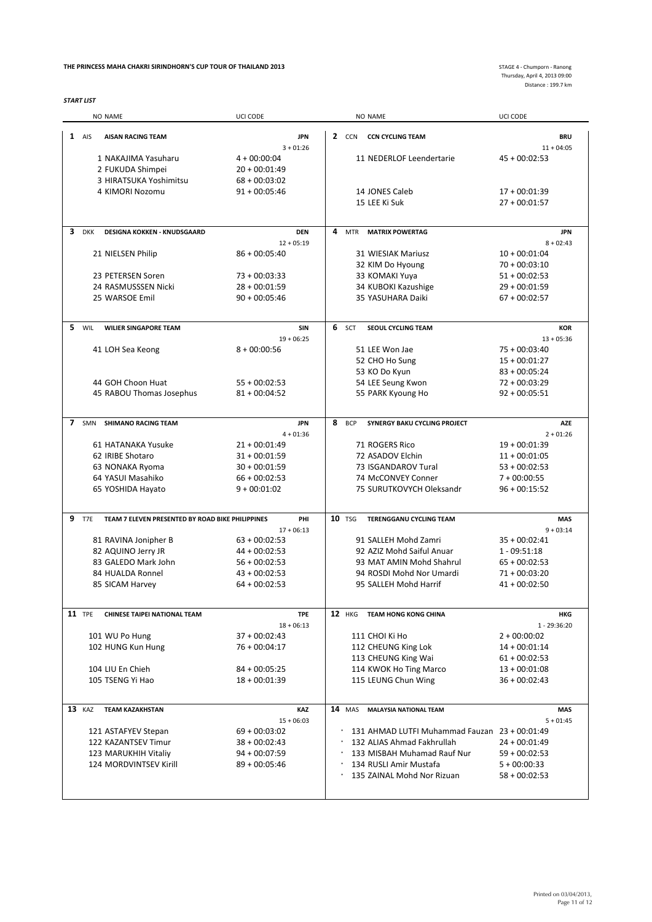#### **THE PRINCESS MAHA CHAKRI SIRINDHORN'S CUP TOUR OF THAILAND 2013**

*START LIST*

Thursday, April 4, 2013 09:00 Distance : 199.7 km

|    |               | NO NAME                                          | UCI CODE                           |   |               | <b>NO NAME</b>                                | UCI CODE                           |  |
|----|---------------|--------------------------------------------------|------------------------------------|---|---------------|-----------------------------------------------|------------------------------------|--|
|    | $1$ AIS       | <b>AISAN RACING TEAM</b>                         | <b>JPN</b>                         |   |               | 2 CCN CCN CYCLING TEAM                        | <b>BRU</b>                         |  |
|    |               |                                                  | $3 + 01:26$                        |   |               |                                               | $11 + 04:05$                       |  |
|    |               | 1 NAKAJIMA Yasuharu                              | $4 + 00:00:04$                     |   |               | 11 NEDERLOF Leendertarie                      | $45 + 00:02:53$                    |  |
|    |               | 2 FUKUDA Shimpei                                 | $20 + 00:01:49$                    |   |               |                                               |                                    |  |
|    |               | 3 HIRATSUKA Yoshimitsu                           | $68 + 00:03:02$                    |   |               |                                               |                                    |  |
|    |               | 4 KIMORI Nozomu                                  | $91 + 00:05:46$                    |   |               | 14 JONES Caleb                                | $17 + 00:01:39$                    |  |
|    |               |                                                  |                                    |   |               | 15 LEE Ki Suk                                 | $27 + 00:01:57$                    |  |
|    |               |                                                  |                                    |   |               |                                               |                                    |  |
| 3  | <b>DKK</b>    | <b>DESIGNA KOKKEN - KNUDSGAARD</b>               | <b>DEN</b>                         | 4 | MTR           | <b>MATRIX POWERTAG</b>                        | <b>JPN</b>                         |  |
|    |               |                                                  | $12 + 05:19$                       |   |               |                                               | $8 + 02:43$                        |  |
|    |               | 21 NIELSEN Philip                                | $86 + 00:05:40$                    |   |               | 31 WIESIAK Mariusz                            | $10 + 00:01:04$                    |  |
|    |               |                                                  |                                    |   |               | 32 KIM Do Hyoung                              | $70 + 00:03:10$                    |  |
|    |               | 23 PETERSEN Soren                                | $73 + 00:03:33$                    |   |               | 33 KOMAKI Yuya                                | $51 + 00:02:53$                    |  |
|    |               | 24 RASMUSSSEN Nicki                              | $28 + 00:01:59$                    |   |               | 34 KUBOKI Kazushige                           | $29 + 00:01:59$                    |  |
|    |               | 25 WARSOE Emil                                   | $90 + 00:05:46$                    |   |               | 35 YASUHARA Daiki                             | $67 + 00:02:57$                    |  |
|    |               |                                                  |                                    |   |               |                                               |                                    |  |
| 5. | WIL           | <b>WILIER SINGAPORE TEAM</b>                     | SIN                                |   | 6 SCT         | SEOUL CYCLING TEAM                            | <b>KOR</b>                         |  |
|    |               |                                                  | $19 + 06:25$                       |   |               |                                               | $13 + 05:36$                       |  |
|    |               | 41 LOH Sea Keong                                 | $8 + 00:00:56$                     |   |               | 51 LEE Won Jae                                | $75 + 00.03:40$                    |  |
|    |               |                                                  |                                    |   |               | 52 CHO Ho Sung                                | $15 + 00:01:27$                    |  |
|    |               |                                                  |                                    |   |               | 53 KO Do Kyun                                 | $83 + 00:05:24$                    |  |
|    |               | 44 GOH Choon Huat                                | $55 + 00:02:53$                    |   |               | 54 LEE Seung Kwon                             | $72 + 00:03:29$                    |  |
|    |               | 45 RABOU Thomas Josephus                         | $81 + 00:04:52$                    |   |               | 55 PARK Kyoung Ho                             | $92 + 00:05:51$                    |  |
|    |               |                                                  |                                    |   |               |                                               |                                    |  |
|    | 7 SMN         | <b>SHIMANO RACING TEAM</b>                       | <b>JPN</b>                         |   | 8 BCP         | SYNERGY BAKU CYCLING PROJECT                  | <b>AZE</b>                         |  |
|    |               |                                                  | $4 + 01:36$                        |   |               |                                               | $2 + 01:26$                        |  |
|    |               | 61 HATANAKA Yusuke                               | $21 + 00:01:49$                    |   |               | 71 ROGERS Rico                                | $19 + 00:01:39$                    |  |
|    |               | 62 IRIBE Shotaro                                 | $31 + 00:01:59$                    |   |               | 72 ASADOV Elchin                              | $11 + 00:01:05$                    |  |
|    |               | 63 NONAKA Ryoma                                  | $30 + 00:01:59$                    |   |               | 73 ISGANDAROV Tural                           | $53 + 00:02:53$                    |  |
|    |               | 64 YASUI Masahiko                                | $66 + 00:02:53$                    |   |               | 74 McCONVEY Conner                            | $7 + 00:00:55$                     |  |
|    |               |                                                  |                                    |   |               | 75 SURUTKOVYCH Oleksandr                      | $96 + 00:15:52$                    |  |
|    |               | 65 YOSHIDA Hayato                                | $9 + 00:01:02$                     |   |               |                                               |                                    |  |
| 9  | T7E           | TEAM 7 ELEVEN PRESENTED BY ROAD BIKE PHILIPPINES | PHI                                |   | <b>10 TSG</b> | <b>TERENGGANU CYCLING TEAM</b>                | <b>MAS</b>                         |  |
|    |               |                                                  | $17 + 06:13$                       |   |               |                                               | $9 + 03:14$                        |  |
|    |               | 81 RAVINA Jonipher B                             | $63 + 00:02:53$                    |   |               | 91 SALLEH Mohd Zamri                          | $35 + 00:02:41$                    |  |
|    |               | 82 AQUINO Jerry JR                               | $44 + 00:02:53$                    |   |               | 92 AZIZ Mohd Saiful Anuar                     | $1 - 09:51:18$                     |  |
|    |               | 83 GALEDO Mark John                              | $56 + 00:02:53$                    |   |               | 93 MAT AMIN Mohd Shahrul                      | $65 + 00:02:53$                    |  |
|    |               | 84 HUALDA Ronnel                                 | $43 + 00:02:53$                    |   |               | 94 ROSDI Mohd Nor Umardi                      | $71 + 00:03:20$                    |  |
|    |               |                                                  |                                    |   |               |                                               |                                    |  |
|    |               | 85 SICAM Harvey                                  | $64 + 00:02:53$                    |   |               | 95 SALLEH Mohd Harrif                         | $41 + 00:02:50$                    |  |
|    | <b>11</b> TPE | <b>CHINESE TAIPEI NATIONAL TEAM</b>              | <b>TPE</b>                         |   | <b>12</b> HKG | <b>TEAM HONG KONG CHINA</b>                   | <b>HKG</b>                         |  |
|    |               |                                                  | $18 + 06:13$                       |   |               |                                               | 1 - 29:36:20                       |  |
|    |               | 101 WU Po Hung                                   | $37 + 00:02:43$                    |   |               | 111 CHOI Ki Ho                                | $2 + 00:00:02$                     |  |
|    |               | 102 HUNG Kun Hung                                | $76 + 00:04:17$                    |   |               | 112 CHEUNG King Lok                           | $14 + 00:01:14$                    |  |
|    |               |                                                  |                                    |   |               | 113 CHEUNG King Wai                           | $61 + 00:02:53$                    |  |
|    |               | 104 LIU En Chieh                                 |                                    |   |               |                                               |                                    |  |
|    |               |                                                  | $84 + 00:05:25$<br>$18 + 00:01:39$ |   |               | 114 KWOK Ho Ting Marco                        | $13 + 00:01:08$<br>$36 + 00:02:43$ |  |
|    |               | 105 TSENG Yi Hao                                 |                                    |   |               | 115 LEUNG Chun Wing                           |                                    |  |
|    | 13 KAZ        | <b>TEAM KAZAKHSTAN</b>                           | KAZ                                |   | <b>14</b> MAS | <b>MALAYSIA NATIONAL TEAM</b>                 | <b>MAS</b>                         |  |
|    |               |                                                  | $15 + 06:03$                       |   |               |                                               | $5 + 01:45$                        |  |
|    |               | 121 ASTAFYEV Stepan                              | $69 + 00:03:02$                    |   |               | 131 AHMAD LUTFI Muhammad Fauzan 23 + 00:01:49 |                                    |  |
|    |               | 122 KAZANTSEV Timur                              | $38 + 00:02:43$                    |   |               | 132 ALIAS Ahmad Fakhrullah                    | $24 + 00:01:49$                    |  |
|    |               |                                                  |                                    |   |               |                                               |                                    |  |
|    |               | 123 MARUKHIH Vitaliy                             | $94 + 00:07:59$                    |   |               | 133 MISBAH Muhamad Rauf Nur                   | $59 + 00:02:53$                    |  |
|    |               | 124 MORDVINTSEV Kirill                           | $89 + 00:05:46$                    |   |               | 134 RUSLI Amir Mustafa                        | $5 + 00:00:33$                     |  |
|    |               |                                                  |                                    |   |               | 135 ZAINAL Mohd Nor Rizuan                    | $58 + 00:02:53$                    |  |
|    |               |                                                  |                                    |   |               |                                               |                                    |  |